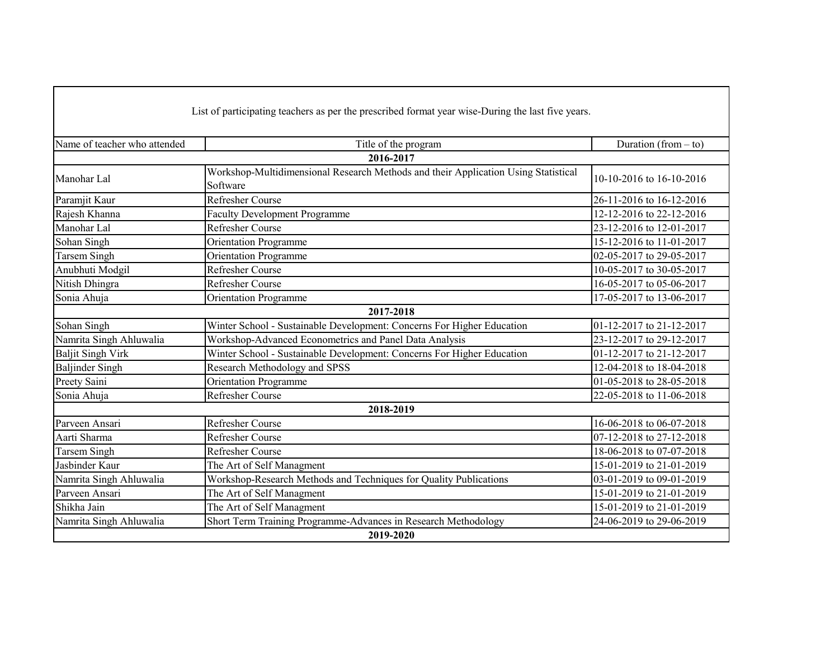| List of participating teachers as per the prescribed format year wise-During the last five years. |                                                                                                |                          |  |  |
|---------------------------------------------------------------------------------------------------|------------------------------------------------------------------------------------------------|--------------------------|--|--|
| Name of teacher who attended                                                                      | Title of the program                                                                           | Duration (from $-$ to)   |  |  |
|                                                                                                   | 2016-2017                                                                                      |                          |  |  |
| Manohar Lal                                                                                       | Workshop-Multidimensional Research Methods and their Application Using Statistical<br>Software | 10-10-2016 to 16-10-2016 |  |  |
| Paramjit Kaur                                                                                     | <b>Refresher Course</b>                                                                        | 26-11-2016 to 16-12-2016 |  |  |
| Rajesh Khanna                                                                                     | <b>Faculty Development Programme</b>                                                           | 12-12-2016 to 22-12-2016 |  |  |
| Manohar Lal                                                                                       | <b>Refresher Course</b>                                                                        | 23-12-2016 to 12-01-2017 |  |  |
| Sohan Singh                                                                                       | <b>Orientation Programme</b>                                                                   | 15-12-2016 to 11-01-2017 |  |  |
| <b>Tarsem Singh</b>                                                                               | <b>Orientation Programme</b>                                                                   | 02-05-2017 to 29-05-2017 |  |  |
| Anubhuti Modgil                                                                                   | Refresher Course                                                                               | 10-05-2017 to 30-05-2017 |  |  |
| Nitish Dhingra                                                                                    | <b>Refresher Course</b>                                                                        | 16-05-2017 to 05-06-2017 |  |  |
| Sonia Ahuja                                                                                       | <b>Orientation Programme</b>                                                                   | 17-05-2017 to 13-06-2017 |  |  |
|                                                                                                   | 2017-2018                                                                                      |                          |  |  |
| Sohan Singh                                                                                       | Winter School - Sustainable Development: Concerns For Higher Education                         | 01-12-2017 to 21-12-2017 |  |  |
| Namrita Singh Ahluwalia                                                                           | Workshop-Advanced Econometrics and Panel Data Analysis                                         | 23-12-2017 to 29-12-2017 |  |  |
| <b>Baljit Singh Virk</b>                                                                          | Winter School - Sustainable Development: Concerns For Higher Education                         | 01-12-2017 to 21-12-2017 |  |  |
| <b>Baljinder Singh</b>                                                                            | Research Methodology and SPSS                                                                  | 12-04-2018 to 18-04-2018 |  |  |
| Preety Saini                                                                                      | <b>Orientation Programme</b>                                                                   | 01-05-2018 to 28-05-2018 |  |  |
| Sonia Ahuja                                                                                       | Refresher Course                                                                               | 22-05-2018 to 11-06-2018 |  |  |
|                                                                                                   | 2018-2019                                                                                      |                          |  |  |
| Parveen Ansari                                                                                    | Refresher Course                                                                               | 16-06-2018 to 06-07-2018 |  |  |
| Aarti Sharma                                                                                      | Refresher Course                                                                               | 07-12-2018 to 27-12-2018 |  |  |
| <b>Tarsem Singh</b>                                                                               | Refresher Course                                                                               | 18-06-2018 to 07-07-2018 |  |  |
| Jasbinder Kaur                                                                                    | The Art of Self Managment                                                                      | 15-01-2019 to 21-01-2019 |  |  |
| Namrita Singh Ahluwalia                                                                           | Workshop-Research Methods and Techniques for Quality Publications                              | 03-01-2019 to 09-01-2019 |  |  |
| Parveen Ansari                                                                                    | The Art of Self Managment                                                                      | 15-01-2019 to 21-01-2019 |  |  |
| Shikha Jain                                                                                       | The Art of Self Managment                                                                      | 15-01-2019 to 21-01-2019 |  |  |
| Namrita Singh Ahluwalia                                                                           | Short Term Training Programme-Advances in Research Methodology                                 | 24-06-2019 to 29-06-2019 |  |  |
|                                                                                                   | 2019-2020                                                                                      |                          |  |  |

Г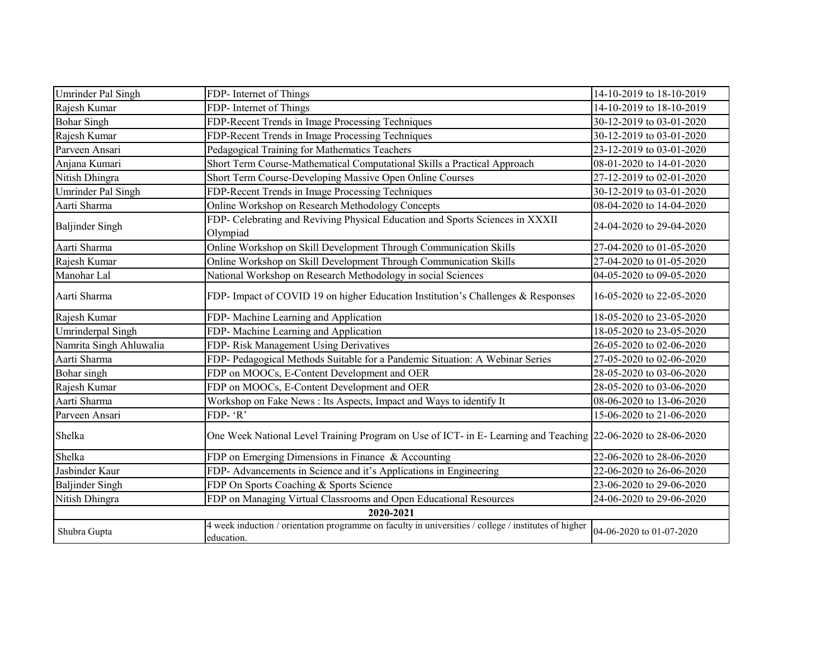| Umrinder Pal Singh        | FDP- Internet of Things                                                                                            | 14-10-2019 to 18-10-2019 |  |  |
|---------------------------|--------------------------------------------------------------------------------------------------------------------|--------------------------|--|--|
| Rajesh Kumar              | FDP- Internet of Things                                                                                            | 14-10-2019 to 18-10-2019 |  |  |
| <b>Bohar Singh</b>        | FDP-Recent Trends in Image Processing Techniques                                                                   | 30-12-2019 to 03-01-2020 |  |  |
| Rajesh Kumar              | FDP-Recent Trends in Image Processing Techniques                                                                   | 30-12-2019 to 03-01-2020 |  |  |
| Parveen Ansari            | Pedagogical Training for Mathematics Teachers                                                                      | 23-12-2019 to 03-01-2020 |  |  |
| Anjana Kumari             | Short Term Course-Mathematical Computational Skills a Practical Approach                                           | 08-01-2020 to 14-01-2020 |  |  |
| Nitish Dhingra            | Short Term Course-Developing Massive Open Online Courses                                                           | 27-12-2019 to 02-01-2020 |  |  |
| <b>Umrinder Pal Singh</b> | FDP-Recent Trends in Image Processing Techniques                                                                   | 30-12-2019 to 03-01-2020 |  |  |
| Aarti Sharma              | Online Workshop on Research Methodology Concepts                                                                   | 08-04-2020 to 14-04-2020 |  |  |
| <b>Baljinder Singh</b>    | FDP- Celebrating and Reviving Physical Education and Sports Sciences in XXXII<br>Olympiad                          | 24-04-2020 to 29-04-2020 |  |  |
| Aarti Sharma              | Online Workshop on Skill Development Through Communication Skills                                                  | 27-04-2020 to 01-05-2020 |  |  |
| Rajesh Kumar              | Online Workshop on Skill Development Through Communication Skills                                                  | 27-04-2020 to 01-05-2020 |  |  |
| Manohar Lal               | National Workshop on Research Methodology in social Sciences                                                       | 04-05-2020 to 09-05-2020 |  |  |
| Aarti Sharma              | FDP- Impact of COVID 19 on higher Education Institution's Challenges & Responses                                   | 16-05-2020 to 22-05-2020 |  |  |
| Rajesh Kumar              | FDP- Machine Learning and Application                                                                              | 18-05-2020 to 23-05-2020 |  |  |
| Umrinderpal Singh         | FDP- Machine Learning and Application                                                                              | 18-05-2020 to 23-05-2020 |  |  |
| Namrita Singh Ahluwalia   | FDP- Risk Management Using Derivatives                                                                             | 26-05-2020 to 02-06-2020 |  |  |
| Aarti Sharma              | FDP- Pedagogical Methods Suitable for a Pandemic Situation: A Webinar Series                                       | 27-05-2020 to 02-06-2020 |  |  |
| Bohar singh               | FDP on MOOCs, E-Content Development and OER                                                                        | 28-05-2020 to 03-06-2020 |  |  |
| Rajesh Kumar              | FDP on MOOCs, E-Content Development and OER                                                                        | 28-05-2020 to 03-06-2020 |  |  |
| Aarti Sharma              | Workshop on Fake News : Its Aspects, Impact and Ways to identify It                                                | 08-06-2020 to 13-06-2020 |  |  |
| Parveen Ansari            | FDP-'R'                                                                                                            | 15-06-2020 to 21-06-2020 |  |  |
| Shelka                    | One Week National Level Training Program on Use of ICT- in E- Learning and Teaching 22-06-2020 to 28-06-2020       |                          |  |  |
| Shelka                    | FDP on Emerging Dimensions in Finance & Accounting                                                                 | 22-06-2020 to 28-06-2020 |  |  |
| Jasbinder Kaur            | FDP- Advancements in Science and it's Applications in Engineering                                                  | 22-06-2020 to 26-06-2020 |  |  |
| <b>Baljinder Singh</b>    | FDP On Sports Coaching & Sports Science                                                                            | 23-06-2020 to 29-06-2020 |  |  |
| Nitish Dhingra            | FDP on Managing Virtual Classrooms and Open Educational Resources                                                  | 24-06-2020 to 29-06-2020 |  |  |
| 2020-2021                 |                                                                                                                    |                          |  |  |
| Shubra Gupta              | 4 week induction / orientation programme on faculty in universities / college / institutes of higher<br>education. | 04-06-2020 to 01-07-2020 |  |  |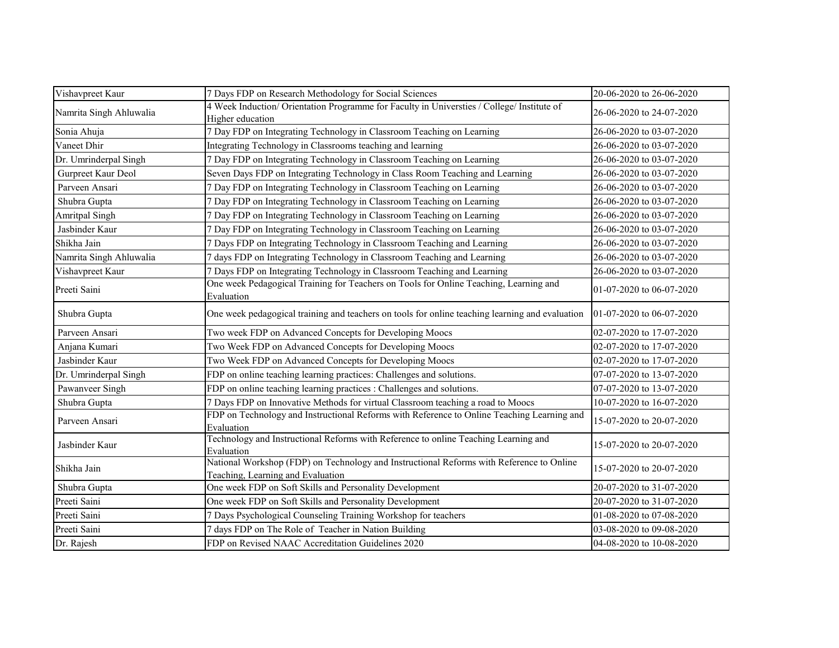| Vishavpreet Kaur        | 7 Days FDP on Research Methodology for Social Sciences                                                                        | 20-06-2020 to 26-06-2020 |
|-------------------------|-------------------------------------------------------------------------------------------------------------------------------|--------------------------|
| Namrita Singh Ahluwalia | 4 Week Induction/ Orientation Programme for Faculty in Universties / College/ Institute of<br>Higher education                | 26-06-2020 to 24-07-2020 |
| Sonia Ahuja             | 7 Day FDP on Integrating Technology in Classroom Teaching on Learning                                                         | 26-06-2020 to 03-07-2020 |
| Vaneet Dhir             | Integrating Technology in Classrooms teaching and learning                                                                    | 26-06-2020 to 03-07-2020 |
| Dr. Umrinderpal Singh   | 7 Day FDP on Integrating Technology in Classroom Teaching on Learning                                                         | 26-06-2020 to 03-07-2020 |
| Gurpreet Kaur Deol      | Seven Days FDP on Integrating Technology in Class Room Teaching and Learning                                                  | 26-06-2020 to 03-07-2020 |
| Parveen Ansari          | 7 Day FDP on Integrating Technology in Classroom Teaching on Learning                                                         | 26-06-2020 to 03-07-2020 |
| Shubra Gupta            | 7 Day FDP on Integrating Technology in Classroom Teaching on Learning                                                         | 26-06-2020 to 03-07-2020 |
| Amritpal Singh          | 7 Day FDP on Integrating Technology in Classroom Teaching on Learning                                                         | 26-06-2020 to 03-07-2020 |
| Jasbinder Kaur          | 7 Day FDP on Integrating Technology in Classroom Teaching on Learning                                                         | 26-06-2020 to 03-07-2020 |
| Shikha Jain             | 7 Days FDP on Integrating Technology in Classroom Teaching and Learning                                                       | 26-06-2020 to 03-07-2020 |
| Namrita Singh Ahluwalia | 7 days FDP on Integrating Technology in Classroom Teaching and Learning                                                       | 26-06-2020 to 03-07-2020 |
| Vishavpreet Kaur        | 7 Days FDP on Integrating Technology in Classroom Teaching and Learning                                                       | 26-06-2020 to 03-07-2020 |
| Preeti Saini            | One week Pedagogical Training for Teachers on Tools for Online Teaching, Learning and<br>Evaluation                           | 01-07-2020 to 06-07-2020 |
| Shubra Gupta            | One week pedagogical training and teachers on tools for online teaching learning and evaluation                               | 01-07-2020 to 06-07-2020 |
| Parveen Ansari          | Two week FDP on Advanced Concepts for Developing Moocs                                                                        | 02-07-2020 to 17-07-2020 |
| Anjana Kumari           | Two Week FDP on Advanced Concepts for Developing Moocs                                                                        | 02-07-2020 to 17-07-2020 |
| Jasbinder Kaur          | Two Week FDP on Advanced Concepts for Developing Moocs                                                                        | 02-07-2020 to 17-07-2020 |
| Dr. Umrinderpal Singh   | FDP on online teaching learning practices: Challenges and solutions.                                                          | 07-07-2020 to 13-07-2020 |
| Pawanveer Singh         | FDP on online teaching learning practices : Challenges and solutions.                                                         | 07-07-2020 to 13-07-2020 |
| Shubra Gupta            | 7 Days FDP on Innovative Methods for virtual Classroom teaching a road to Moocs                                               | 10-07-2020 to 16-07-2020 |
| Parveen Ansari          | FDP on Technology and Instructional Reforms with Reference to Online Teaching Learning and<br>Evaluation                      | 15-07-2020 to 20-07-2020 |
| Jasbinder Kaur          | Technology and Instructional Reforms with Reference to online Teaching Learning and<br>Evaluation                             | 15-07-2020 to 20-07-2020 |
| Shikha Jain             | National Workshop (FDP) on Technology and Instructional Reforms with Reference to Online<br>Teaching, Learning and Evaluation | 15-07-2020 to 20-07-2020 |
| Shubra Gupta            | One week FDP on Soft Skills and Personality Development                                                                       | 20-07-2020 to 31-07-2020 |
| Preeti Saini            | One week FDP on Soft Skills and Personality Development                                                                       | 20-07-2020 to 31-07-2020 |
| Preeti Saini            | 7 Days Psychological Counseling Training Workshop for teachers                                                                | 01-08-2020 to 07-08-2020 |
| Preeti Saini            | 7 days FDP on The Role of Teacher in Nation Building                                                                          | 03-08-2020 to 09-08-2020 |
| Dr. Rajesh              | FDP on Revised NAAC Accreditation Guidelines 2020                                                                             | 04-08-2020 to 10-08-2020 |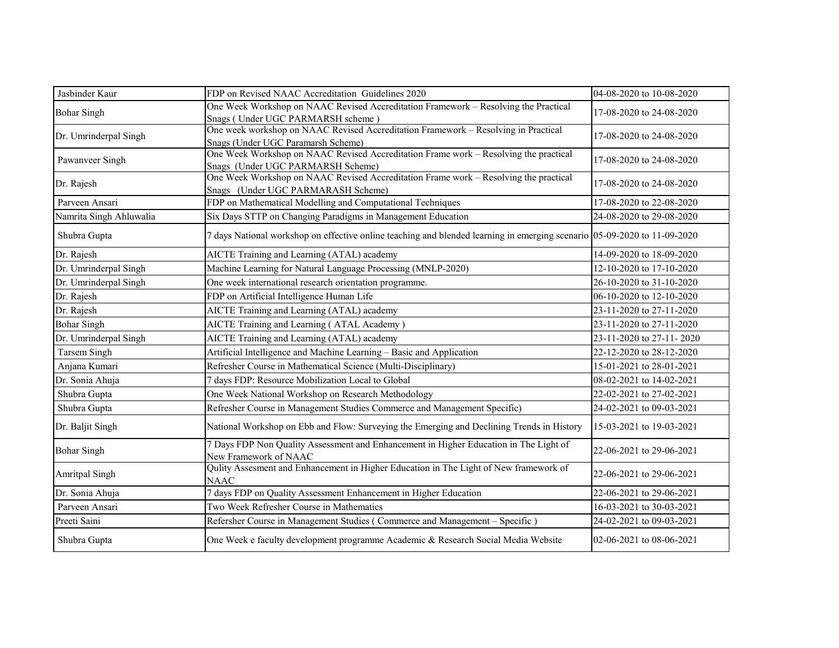| Jasbinder Kaur          | FDP on Revised NAAC Accreditation Guidelines 2020                                                                          | 04-08-2020 to 10-08-2020 |
|-------------------------|----------------------------------------------------------------------------------------------------------------------------|--------------------------|
| <b>Bohar Singh</b>      | One Week Workshop on NAAC Revised Accreditation Framework - Resolving the Practical<br>Snags (Under UGC PARMARSH scheme)   | 17-08-2020 to 24-08-2020 |
| Dr. Umrinderpal Singh   | One week workshop on NAAC Revised Accreditation Framework - Resolving in Practical<br>Snags (Under UGC Paramarsh Scheme)   | 17-08-2020 to 24-08-2020 |
| Pawanveer Singh         | One Week Workshop on NAAC Revised Accreditation Frame work - Resolving the practical<br>Snags (Under UGC PARMARSH Scheme)  | 17-08-2020 to 24-08-2020 |
| Dr. Rajesh              | One Week Workshop on NAAC Revised Accreditation Frame work – Resolving the practical<br>Snags (Under UGC PARMARASH Scheme) | 17-08-2020 to 24-08-2020 |
| Parveen Ansari          | FDP on Mathematical Modelling and Computational Techniques                                                                 | 17-08-2020 to 22-08-2020 |
| Namrita Singh Ahluwalia | Six Days STTP on Changing Paradigms in Management Education                                                                | 24-08-2020 to 29-08-2020 |
| Shubra Gupta            | 7 days National workshop on effective online teaching and blended learning in emerging scenario 05-09-2020 to 11-09-2020   |                          |
| Dr. Rajesh              | AICTE Training and Learning (ATAL) academy                                                                                 | 14-09-2020 to 18-09-2020 |
| Dr. Umrinderpal Singh   | Machine Learning for Natural Language Processing (MNLP-2020)                                                               | 12-10-2020 to 17-10-2020 |
| Dr. Umrinderpal Singh   | One week international research orientation programme.                                                                     | 26-10-2020 to 31-10-2020 |
| Dr. Rajesh              | FDP on Artificial Intelligence Human Life                                                                                  | 06-10-2020 to 12-10-2020 |
| Dr. Rajesh              | AICTE Training and Learning (ATAL) academy                                                                                 | 23-11-2020 to 27-11-2020 |
| <b>Bohar Singh</b>      | AICTE Training and Learning (ATAL Academy)                                                                                 | 23-11-2020 to 27-11-2020 |
| Dr. Umrinderpal Singh   | AICTE Training and Learning (ATAL) academy                                                                                 | 23-11-2020 to 27-11-2020 |
| <b>Tarsem Singh</b>     | Artificial Intelligence and Machine Learning - Basic and Application                                                       | 22-12-2020 to 28-12-2020 |
| Anjana Kumari           | Refresher Course in Mathematical Science (Multi-Disciplinary)                                                              | 15-01-2021 to 28-01-2021 |
| Dr. Sonia Ahuja         | 7 days FDP: Resource Mobilization Local to Global                                                                          | 08-02-2021 to 14-02-2021 |
| Shubra Gupta            | One Week National Workshop on Research Methodology                                                                         | 22-02-2021 to 27-02-2021 |
| Shubra Gupta            | Refresher Course in Management Studies Commerce and Management Specific)                                                   | 24-02-2021 to 09-03-2021 |
| Dr. Baljit Singh        | National Workshop on Ebb and Flow: Surveying the Emerging and Declining Trends in History                                  | 15-03-2021 to 19-03-2021 |
| <b>Bohar Singh</b>      | 7 Days FDP Non Quality Assessment and Enhancement in Higher Education in The Light of<br>New Framework of NAAC             | 22-06-2021 to 29-06-2021 |
| Amritpal Singh          | Qulity Assesment and Enhancement in Higher Education in The Light of New framework of<br><b>NAAC</b>                       | 22-06-2021 to 29-06-2021 |
| Dr. Sonia Ahuja         | 7 days FDP on Quality Assessment Enhancement in Higher Education                                                           | 22-06-2021 to 29-06-2021 |
| Parveen Ansari          | Two Week Refresher Course in Mathematics                                                                                   | 16-03-2021 to 30-03-2021 |
| Preeti Saini            | Refersher Course in Management Studies (Commerce and Management - Specific)                                                | 24-02-2021 to 09-03-2021 |
| Shubra Gupta            | One Week e faculty development programme Academic & Research Social Media Website                                          | 02-06-2021 to 08-06-2021 |